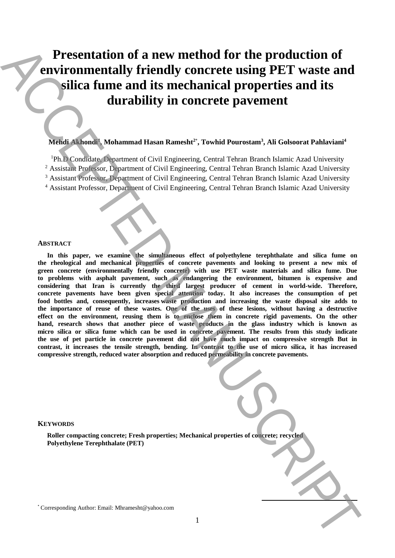# **Presentation of a new method for the production of environmentally friendly concrete using PET waste and silica fume and its mechanical properties and its durability in concrete pavement**

## **Mehdi Akhondi<sup>1</sup> , Mohammad Hasan Ramesht<sup>2</sup>**\* **, Towhid Pourostam<sup>3</sup> , Ali Golsoorat Pahlaviani<sup>4</sup>**

<sup>1</sup>Ph.D Condidate, Department of Civil Engineering, Central Tehran Branch Islamic Azad University

<sup>2</sup> Assistant Professor, Department of Civil Engineering, Central Tehran Branch Islamic Azad University

<sup>3</sup> Assistant Professor, Department of Civil Engineering, Central Tehran Branch Islamic Azad University

<sup>4</sup> Assistant Professor, Department of Civil Engineering, Central Tehran Branch Islamic Azad University

#### **ABSTRACT**

**In this paper, we examine the simultaneous effect of polyethylene terephthalate and silica fume on the rheological and mechanical properties of concrete pavements and looking to present a new mix of green concrete (environmentally friendly concrete) with use PET waste materials and silica fume. Due to problems with asphalt pavement, such as endangering the environment, bitumen is expensive and considering that Iran is currently the third largest producer of cement in world-wide. Therefore, concrete pavements have been given special attention today. It also increases the consumption of pet food bottles and, consequently, increases waste production and increasing the waste disposal site adds to the importance of reuse of these wastes. One of the uses of these lesions, without having a destructive**  effect on the environment, reusing them is to enclose them in concrete rigid pavements. On the other hand, research shows that another piece of waste products in the glass industry which is known as **micro silica or silica fume which can be used in concrete pavement. The results from this study indicate the use of pet particle in concrete pavement did not have much impact on compressive strength But in contrast, it increases the tensile strength, bending. In contrast to the use of micro silica, it has increased compressive strength, reduced water absorption and reduced permeability in concrete pavements. Presentation of a new method for the production of <br>email: Corresponding Authorities and its development and its mechanical properties and its development of the mechanical properties and its development and its mechanic** 

#### **KEYWORDS**

**Roller compacting concrete; Fresh properties; Mechanical properties of concrete; recycled Polyethylene Terephthalate (PET)**

**.**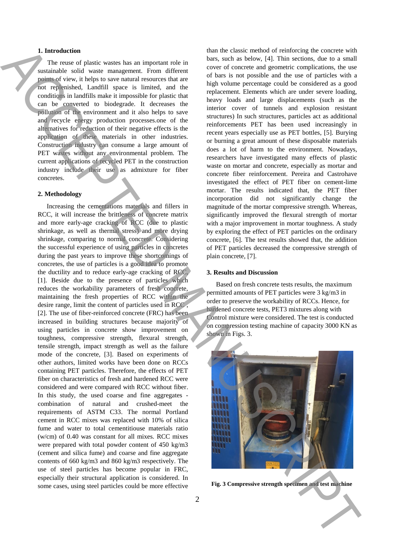## **1. Introduction**

The reuse of plastic wastes has an important role in sustainable solid waste management. From different points of view, it helps to save natural resources that are not replenished, Landfill space is limited, and the conditions in landfills make it impossible for plastic that can be converted to biodegrade. It decreases the pollution of the environment and it also helps to save and recycle energy production processes.one of the alternatives for reduction of their negative effects is the application of these materials in other industries. Construction industry can consume a large amount of PET wastes without any environmental problem. The current applications of recycled PET in the construction industry include their use as admixture for fiber concretes.

### **2. Methodology**

Increasing the cementations materials and fillers in RCC, it will increase the brittleness of concrete matrix and more early-age cracking of RCC (due to plastic shrinkage, as well as thermal stress) and more drying shrinkage, comparing to normal concrete. Considering the successful experience of using particles in concretes during the past years to improve these shortcomings of concretes, the use of particles is a good idea to promote the ductility and to reduce early-age cracking of RCC, [1]. Beside due to the presence of particles which reduces the workability parameters of fresh concrete, maintaining the fresh properties of RCC within the desire range, limit the content of particles used in RCC , [2]. The use of fiber-reinforced concrete (FRC) has been increased in building structures because majority of using particles in concrete show improvement on toughness, compressive strength, flexural strength, tensile strength, impact strength as well as the failure mode of the concrete, [3]. Based on experiments of other authors, limited works have been done on RCCs containing PET particles. Therefore, the effects of PET fiber on characteristics of fresh and hardened RCC were considered and were compared with RCC without fiber. In this study, the used coarse and fine aggregates combination of natural and crushed-meet the requirements of ASTM C33. The normal Portland cement in RCC mixes was replaced with 10% of silica fume and water to total cementitiouse materials ratio (w/cm) of 0.40 was constant for all mixes. RCC mixes were prepared with total powder content of 450 kg/m3 (cement and silica fume) and coarse and fine aggregate contents of 660 kg/m3 and 860 kg/m3 respectively. The use of steel particles has become popular in FRC, especially their structural application is considered. In some cases, using steel particles could be more effective **Fig. 2** Compressive Street Exception Compression and the strength specified of the strength specified of the strength specified of the strength specified of the strength specified of the strength specified of the strength

than the classic method of reinforcing the concrete with bars, such as below, [4]. Thin sections, due to a small cover of concrete and geometric complications, the use of bars is not possible and the use of particles with a high volume percentage could be considered as a good replacement. Elements which are under severe loading, heavy loads and large displacements (such as the interior cover of tunnels and explosion resistant structures) In such structures, particles act as additional reinforcements PET has been used increasingly in recent years especially use as PET bottles, [5]. Burying or burning a great amount of these disposable materials does a lot of harm to the environment. Nowadays, researchers have investigated many effects of plastic waste on mortar and concrete, especially as mortar and concrete fiber reinforcement. Pereira and Castrohave investigated the effect of PET fiber on cement-lime mortar. The results indicated that, the PET fiber incorporation did not significantly change the magnitude of the mortar compressive strength. Whereas, significantly improved the flexural strength of mortar with a major improvement in mortar toughness. A study by exploring the effect of PET particles on the ordinary concrete, [6]. The test results showed that, the addition of PET particles decreased the compressive strength of plain concrete, [7].

#### **3. Results and Discussion**

Based on fresh concrete tests results, the maximum permitted amounts of PET particles were 3 kg/m3 in order to preserve the workability of RCCs. Hence, for hardened concrete tests, PET3 mixtures along with Control mixture were considered. The test is conducted on compression testing machine of capacity 3000 KN as shown in Figs. 3.